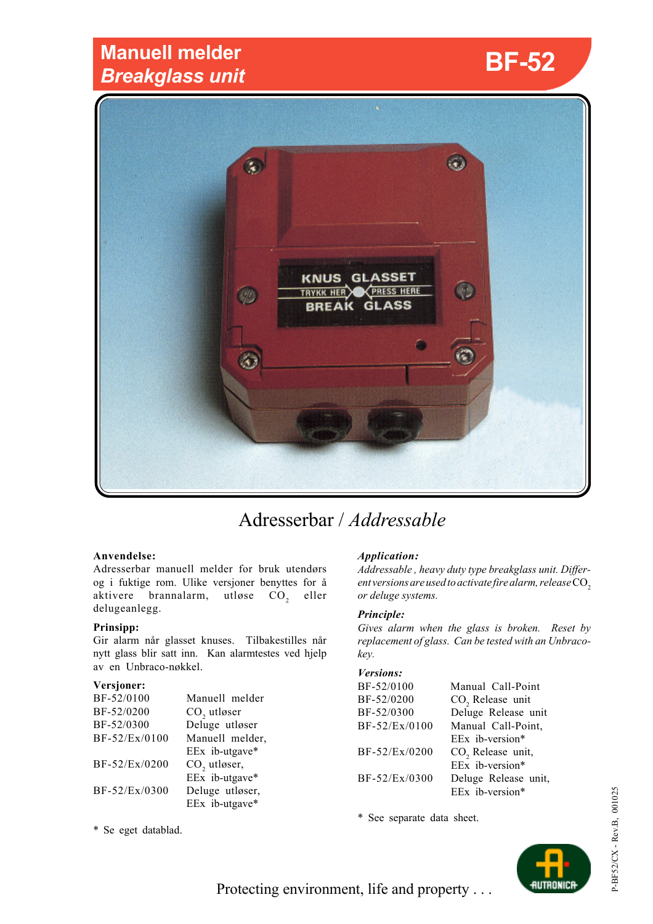## **Manuell melder** *Breakglass unit*



# Adresserbar / *Addressable*

## **Anvendelse:**

Adresserbar manuell melder for bruk utendørs og i fuktige rom. Ulike versjoner benyttes for å aktivere brannalarm, utløse  $CO<sub>2</sub>$  eller delugeanlegg.

## **Prinsipp:**

Gir alarm når glasset knuses. Tilbakestilles når nytt glass blir satt inn. Kan alarmtestes ved hjelp av en Unbraco-nøkkel.

## **Versjoner:**

| BF-52/0100    | Manuell melder           |
|---------------|--------------------------|
| BF-52/0200    | $CO$ , utløser           |
| BF-52/0300    | Deluge utløser           |
| BF-52/Ex/0100 | Manuell melder,          |
|               | EEx ib-utgave*           |
| BF-52/Ex/0200 | CO <sub>2</sub> utløser, |
|               | EEx ib-utgave*           |
| BF-52/Ex/0300 | Deluge utløser,          |
|               | EEx ib-utgave*           |

## \* Se eget datablad.

## *Application:*

*Addressable , heavy duty type breakglass unit. Different versions are used to activate fire alarm, release*  $CO<sub>2</sub>$ *or deluge systems.*

#### *Principle:*

*Gives alarm when the glass is broken. Reset by replacement of glass. Can be tested with an Unbracokey.*

## *Versions:*

| BF-52/0100    | Manual Call-Point             |
|---------------|-------------------------------|
| BF-52/0200    | CO <sub>2</sub> Release unit  |
| BF-52/0300    | Deluge Release unit           |
| BF-52/Ex/0100 | Manual Call-Point,            |
|               | EEx ib-version*               |
| BF-52/Ex/0200 | CO <sub>2</sub> Release unit, |
|               | EEx ib-version*               |
| BF-52/Ex/0300 | Deluge Release unit,          |
|               | EEx ib-version*               |

\* See separate data sheet.



Protecting environment, life and property . . .